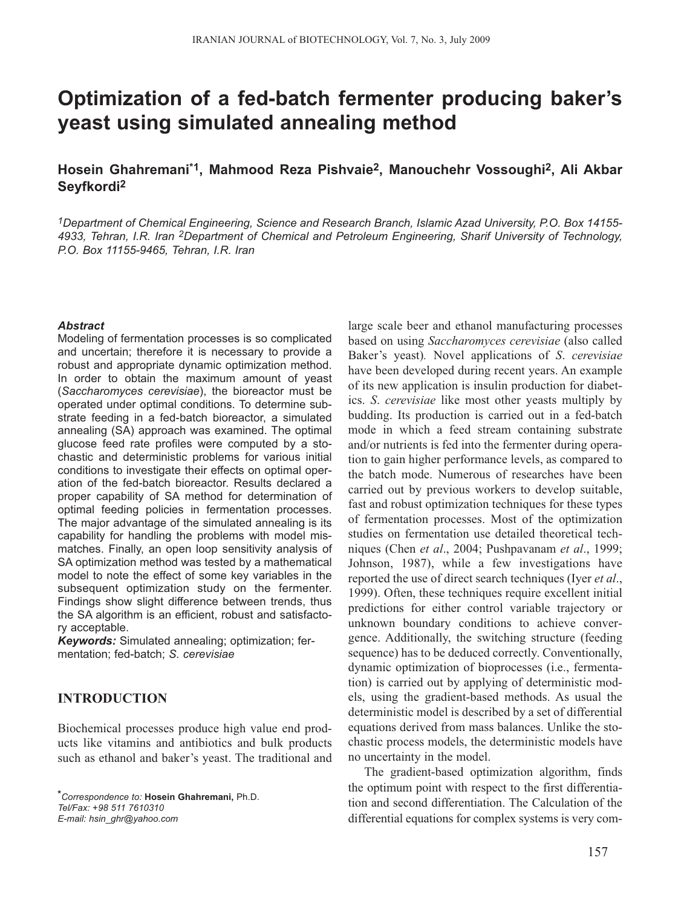# **Optimization of a fed-batch fermenter producing baker's yeast using simulated annealing method**

## **Hosein Ghahremani\*1, Mahmood Reza Pishvaie2, Manouchehr Vossoughi2, Ali Akbar Seyfkordi2**

*1Department of Chemical Engineering, Science and Research Branch, Islamic Azad University, P.O. Box 14155- 4933, Tehran, I.R. Iran 2Department of Chemical and Petroleum Engineering, Sharif University of Technology, P.O. Box 11155-9465, Tehran, I.R. Iran*

#### *Abstract*

Modeling of fermentation processes is so complicated and uncertain; therefore it is necessary to provide a robust and appropriate dynamic optimization method. In order to obtain the maximum amount of yeast (*Saccharomyces cerevisiae*), the bioreactor must be operated under optimal conditions. To determine substrate feeding in a fed-batch bioreactor, a simulated annealing (SA) approach was examined. The optimal glucose feed rate profiles were computed by a stochastic and deterministic problems for various initial conditions to investigate their effects on optimal operation of the fed-batch bioreactor. Results declared a proper capability of SA method for determination of optimal feeding policies in fermentation processes. The major advantage of the simulated annealing is its capability for handling the problems with model mismatches. Finally, an open loop sensitivity analysis of SA optimization method was tested by a mathematical model to note the effect of some key variables in the subsequent optimization study on the fermenter. Findings show slight difference between trends, thus the SA algorithm is an efficient, robust and satisfactory acceptable.

*Keywords:* Simulated annealing; optimization; fermentation; fed-batch; *S. cerevisiae*

## **INTRODUCTION**

Biochemical processes produce high value end products like vitamins and antibiotics and bulk products such as ethanol and baker's yeast. The traditional and large scale beer and ethanol manufacturing processes based on using *Saccharomyces cerevisiae* (also called Baker's yeast)*.* Novel applications of *S*. *cerevisiae* have been developed during recent years. An example of its new application is insulin production for diabetics. *S*. *cerevisiae* like most other yeasts multiply by budding. Its production is carried out in a fed-batch mode in which a feed stream containing substrate and/or nutrients is fed into the fermenter during operation to gain higher performance levels, as compared to the batch mode. Numerous of researches have been carried out by previous workers to develop suitable, fast and robust optimization techniques for these types of fermentation processes. Most of the optimization studies on fermentation use detailed theoretical techniques (Chen *et al*., 2004; Pushpavanam *et al*., 1999; Johnson, 1987), while a few investigations have reported the use of direct search techniques (Iyer *et al*., 1999). Often, these techniques require excellent initial predictions for either control variable trajectory or unknown boundary conditions to achieve convergence. Additionally, the switching structure (feeding sequence) has to be deduced correctly. Conventionally, dynamic optimization of bioprocesses (i.e., fermentation) is carried out by applying of deterministic models, using the gradient-based methods. As usual the deterministic model is described by a set of differential equations derived from mass balances. Unlike the stochastic process models, the deterministic models have no uncertainty in the model.

The gradient-based optimization algorithm, finds the optimum point with respect to the first differentiation and second differentiation. The Calculation of the differential equations for complex systems is very com-

*<sup>\*</sup>Correspondence to:* **Hosein Ghahremani,** Ph.D. *Tel/Fax: +98 511 7610310 E-mail: hsin\_ghr@yahoo.com*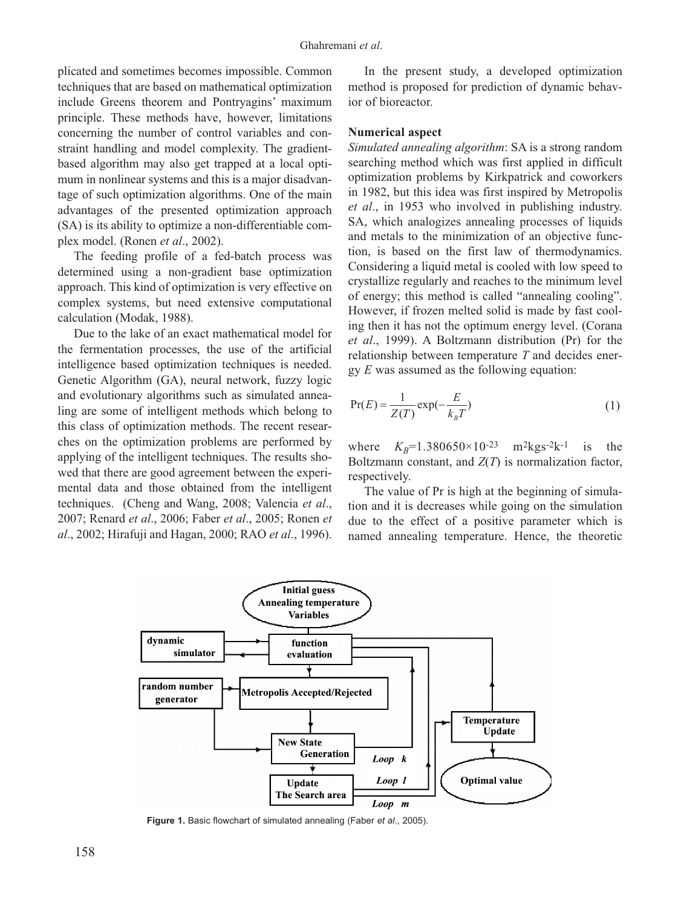plicated and sometimes becomes impossible. Common techniques that are based on mathematical optimization include Greens theorem and Pontryagins' maximum principle. These methods have, however, limitations concerning the number of control variables and constraint handling and model complexity. The gradientbased algorithm may also get trapped at a local optimum in nonlinear systems and this is a major disadvantage of such optimization algorithms. One of the main advantages of the presented optimization approach (SA) is its ability to optimize a non-differentiable complex model. (Ronen *et al*., 2002).

The feeding profile of a fed-batch process was determined using a non-gradient base optimization approach. This kind of optimization is very effective on complex systems, but need extensive computational calculation (Modak, 1988).

Due to the lake of an exact mathematical model for the fermentation processes, the use of the artificial intelligence based optimization techniques is needed. Genetic Algorithm (GA), neural network, fuzzy logic and evolutionary algorithms such as simulated annealing are some of intelligent methods which belong to this class of optimization methods. The recent researches on the optimization problems are performed by applying of the intelligent techniques. The results showed that there are good agreement between the experimental data and those obtained from the intelligent techniques. (Cheng and Wang, 2008; Valencia *et al*., 2007; Renard *et al*., 2006; Faber *et al*., 2005; Ronen *et al*., 2002; Hirafuji and Hagan, 2000; RAO *et al*., 1996).

In the present study, a developed optimization method is proposed for prediction of dynamic behavior of bioreactor.

#### **Numerical aspect**

*Simulated annealing algorithm*: SA is a strong random searching method which was first applied in difficult optimization problems by Kirkpatrick and coworkers in 1982, but this idea was first inspired by Metropolis *et al*., in 1953 who involved in publishing industry. SA, which analogizes annealing processes of liquids and metals to the minimization of an objective function, is based on the first law of thermodynamics. Considering a liquid metal is cooled with low speed to crystallize regularly and reaches to the minimum level of energy; this method is called "annealing cooling". However, if frozen melted solid is made by fast cooling then it has not the optimum energy level. (Corana *et al*., 1999). A Boltzmann distribution (Pr) for the relationship between temperature *T* and decides energy *E* was assumed as the following equation:

$$
\Pr(E) = \frac{1}{Z(T)} \exp(-\frac{E}{k_B T})
$$
\n(1)

where  $K_B = 1.380650 \times 10^{-23}$  m<sup>2</sup>kgs<sup>-2</sup>k<sup>-1</sup> is the Boltzmann constant, and *Z*(*T*) is normalization factor, respectively.

The value of Pr is high at the beginning of simulation and it is decreases while going on the simulation due to the effect of a positive parameter which is named annealing temperature. Hence, the theoretic



**Figure 1.** Basic flowchart of simulated annealing (Faber *et al*., 2005).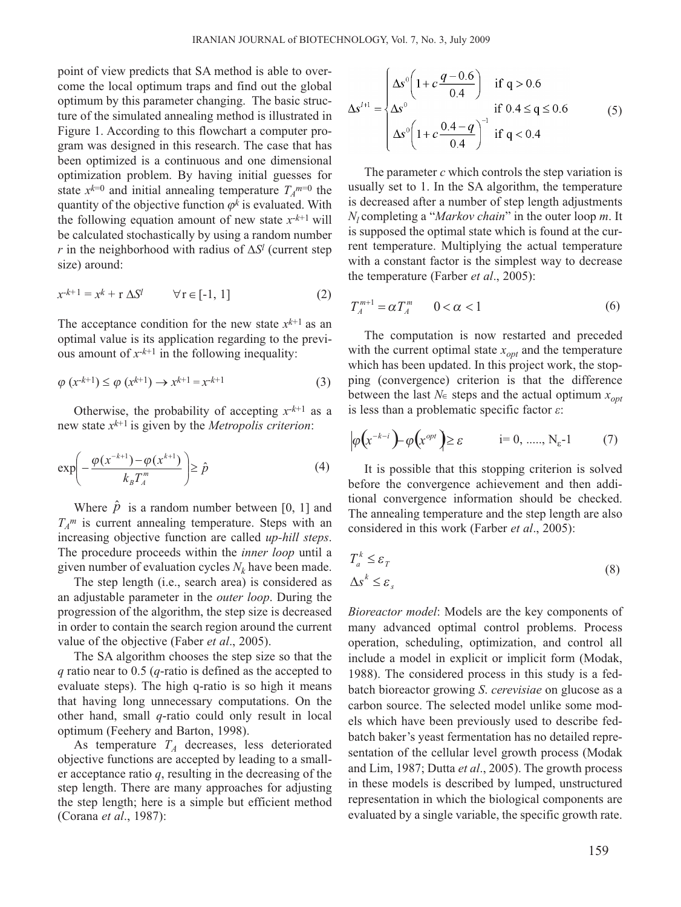point of view predicts that SA method is able to overcome the local optimum traps and find out the global optimum by this parameter changing. The basic structure of the simulated annealing method is illustrated in Figure 1. According to this flowchart a computer program was designed in this research. The case that has been optimized is a continuous and one dimensional optimization problem. By having initial guesses for state  $x^{k=0}$  and initial annealing temperature  $T_A^{m=0}$  the quantity of the objective function  $\varphi^k$  is evaluated. With the following equation amount of new state  $x^{-k+1}$  will be calculated stochastically by using a random number *r* in the neighborhood with radius of  $\Delta S^l$  (current step size) around:

$$
x^{-k+1} = x^k + r \Delta S^l \qquad \forall r \in [-1, 1]
$$
 (2)

The acceptance condition for the new state  $x^{k+1}$  as an optimal value is its application regarding to the previous amount of  $x^{-k+1}$  in the following inequality:

$$
\varphi\left(x^{-k+1}\right) \leq \varphi\left(x^{k+1}\right) \to x^{k+1} = x^{-k+1} \tag{3}
$$

Otherwise, the probability of accepting  $x^{-k+1}$  as a new state *xk*+1 is given by the *Metropolis criterion*:

$$
\exp\left(-\frac{\varphi(x^{-k+1})-\varphi(x^{k+1})}{k_B T_A^m}\right) \ge \hat{p} \tag{4}
$$

Where  $\hat{p}$  is a random number between [0, 1] and *TA m* is current annealing temperature. Steps with an increasing objective function are called *up-hill steps*. The procedure proceeds within the *inner loop* until a given number of evaluation cycles  $N_k$  have been made.

The step length (i.e., search area) is considered as an adjustable parameter in the *outer loop*. During the progression of the algorithm, the step size is decreased in order to contain the search region around the current value of the objective (Faber *et al*., 2005).

The SA algorithm chooses the step size so that the *q* ratio near to 0.5 (*q*-ratio is defined as the accepted to evaluate steps). The high q-ratio is so high it means that having long unnecessary computations. On the other hand, small *q*-ratio could only result in local optimum (Feehery and Barton, 1998).

As temperature  $T_A$  decreases, less deteriorated objective functions are accepted by leading to a smaller acceptance ratio *q*, resulting in the decreasing of the step length. There are many approaches for adjusting the step length; here is a simple but efficient method (Corana *et al*., 1987):

$$
\Delta s^{l+1} = \begin{cases} \Delta s^{0} \left( 1 + c \frac{q - 0.6}{0.4} \right) & \text{if } q > 0.6\\ \Delta s^{0} & \text{if } 0.4 \le q \le 0.6\\ \Delta s^{0} \left( 1 + c \frac{0.4 - q}{0.4} \right)^{-1} & \text{if } q < 0.4 \end{cases}
$$
(5)

The parameter *c* which controls the step variation is usually set to 1. In the SA algorithm, the temperature is decreased after a number of step length adjustments *Nl* completing a "*Markov chain*" in the outer loop *m*. It is supposed the optimal state which is found at the current temperature. Multiplying the actual temperature with a constant factor is the simplest way to decrease the temperature (Farber *et al*., 2005):

$$
T_A^{m+1} = \alpha T_A^m \qquad 0 < \alpha < 1 \tag{6}
$$

The computation is now restarted and preceded with the current optimal state  $x_{opt}$  and the temperature which has been updated. In this project work, the stopping (convergence) criterion is that the difference between the last  $N_{\epsilon}$  steps and the actual optimum  $x_{\text{opt}}$ is less than a problematic specific factor *ε*:

$$
\left|\varphi\left(x^{-k-i}\right) - \varphi\left(x^{opt}\right)\right| \geq \varepsilon \qquad \qquad i = 0, \, \dots, \, N_{\varepsilon} - 1 \tag{7}
$$

It is possible that this stopping criterion is solved before the convergence achievement and then additional convergence information should be checked. The annealing temperature and the step length are also considered in this work (Farber *et al*., 2005):

$$
T_a^k \le \varepsilon_T
$$
  

$$
\Delta s^k \le \varepsilon_s
$$
 (8)

*Bioreactor model*: Models are the key components of many advanced optimal control problems. Process operation, scheduling, optimization, and control all include a model in explicit or implicit form (Modak, 1988). The considered process in this study is a fedbatch bioreactor growing *S*. *cerevisiae* on glucose as a carbon source. The selected model unlike some models which have been previously used to describe fedbatch baker's yeast fermentation has no detailed representation of the cellular level growth process (Modak and Lim, 1987; Dutta *et al*., 2005). The growth process in these models is described by lumped, unstructured representation in which the biological components are evaluated by a single variable, the specific growth rate.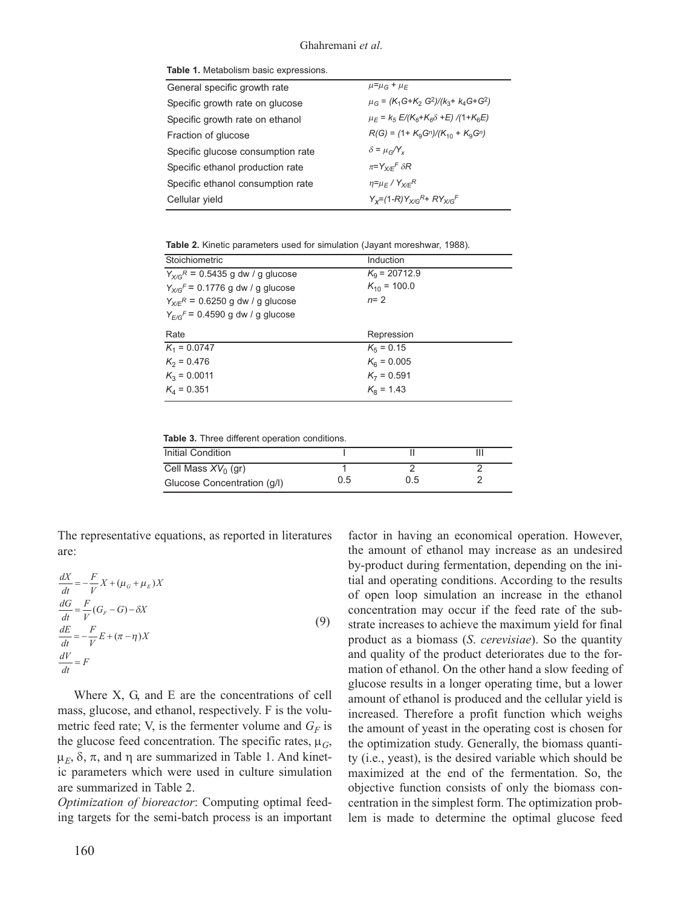|  |  |  |  |  | <b>Table 1.</b> Metabolism basic expressions. |
|--|--|--|--|--|-----------------------------------------------|
|--|--|--|--|--|-----------------------------------------------|

| General specific growth rate      | $\mu = \mu_G + \mu_F$                              |
|-----------------------------------|----------------------------------------------------|
| Specific growth rate on glucose   | $\mu_G = (K_1 G + K_2 G^2)/(k_3 + k_4 G + G^2)$    |
| Specific growth rate on ethanol   | $\mu_F = k_5 E/(K_6 + K_6 \delta + E)/(1 + K_6 E)$ |
| Fraction of glucose               | $R(G) = (1 + K9Gn)/(K10 + K9Gn)$                   |
| Specific glucose consumption rate | $\delta = \mu_{\alpha}/Y_{\nu}$                    |
| Specific ethanol production rate  | $\pi = Y_{X/F}F \delta R$                          |
| Specific ethanol consumption rate | $\eta = \mu_F / Y_{\chi/F}R$                       |
| Cellular yield                    | $Y_{r} = (1 - R)Y_{r} = RY_{r} = F$                |
|                                   |                                                    |

**Table 2.** Kinetic parameters used for simulation (Jayant moreshwar, 1988)*.*

| Stoichiometric                                   | Induction             |
|--------------------------------------------------|-----------------------|
| $Y_{X/G}$ <sup>R</sup> = 0.5435 g dw / g glucose | $K_{\rm o}$ = 20712.9 |
| $Y_{X/G}^F$ = 0.1776 g dw / g glucose            | $K_{10}$ = 100.0      |
| $Y_{X/F}$ <sup>R</sup> = 0.6250 g dw / g glucose | $n=2$                 |
| $Y_{E/G}F = 0.4590$ g dw / g glucose             |                       |
| Rate                                             | Repression            |
|                                                  |                       |
| $K_1 = 0.0747$                                   | $K_5 = 0.15$          |
| $K_2 = 0.476$                                    | $K_{\rm s} = 0.005$   |
| $K_3 = 0.0011$                                   | $K_7 = 0.591$         |
| $K_4 = 0.351$                                    | $K_{\rm B} = 1.43$    |

**Table 3.** Three different operation conditions.

| Initial Condition           |     |     |  |
|-----------------------------|-----|-----|--|
| Cell Mass $XV_0$ (gr)       |     |     |  |
| Glucose Concentration (q/l) | 0.5 | 0.5 |  |

The representative equations, as reported in literatures are:

$$
\frac{dX}{dt} = -\frac{F}{V}X + (\mu_G + \mu_E)X
$$
  
\n
$$
\frac{dG}{dt} = \frac{F}{V}(G_F - G) - \delta X
$$
  
\n
$$
\frac{dE}{dt} = -\frac{F}{V}E + (\pi - \eta)X
$$
  
\n
$$
\frac{dV}{dt} = F
$$
\n(9)

Where X, G, and E are the concentrations of cell mass, glucose, and ethanol, respectively. F is the volumetric feed rate; V, is the fermenter volume and  $G_F$  is the glucose feed concentration. The specific rates, μ*G*,  $\mu_E$ , δ, π, and η are summarized in Table 1. And kinetic parameters which were used in culture simulation are summarized in Table 2.

*Optimization of bioreactor*: Computing optimal feeding targets for the semi-batch process is an important factor in having an economical operation. However, the amount of ethanol may increase as an undesired by-product during fermentation, depending on the initial and operating conditions. According to the results of open loop simulation an increase in the ethanol concentration may occur if the feed rate of the substrate increases to achieve the maximum yield for final product as a biomass (*S*. *cerevisiae*). So the quantity and quality of the product deteriorates due to the formation of ethanol. On the other hand a slow feeding of glucose results in a longer operating time, but a lower amount of ethanol is produced and the cellular yield is increased. Therefore a profit function which weighs the amount of yeast in the operating cost is chosen for the optimization study. Generally, the biomass quantity (i.e., yeast), is the desired variable which should be maximized at the end of the fermentation. So, the objective function consists of only the biomass concentration in the simplest form. The optimization problem is made to determine the optimal glucose feed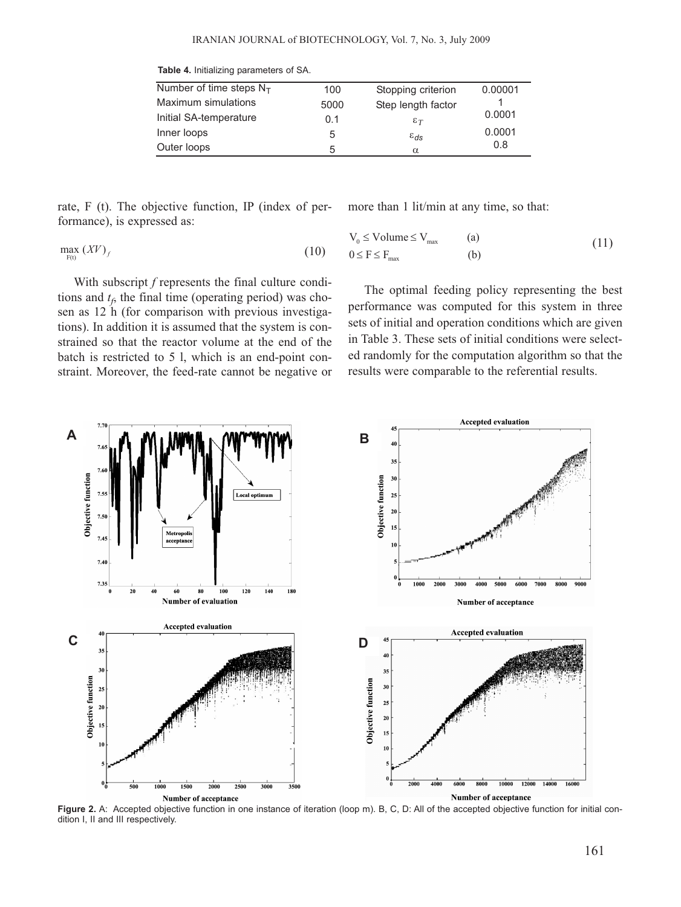| Number of time steps $N_T$ | 100  | Stopping criterion | 0.00001 |
|----------------------------|------|--------------------|---------|
| Maximum simulations        | 5000 | Step length factor |         |
| Initial SA-temperature     | 0.1  | $\epsilon_T$       | 0.0001  |
| Inner loops                | 5    | $\varepsilon_{ds}$ | 0.0001  |
| Outer loops                | 5    | $\alpha$           | 0.8     |

**Table 4.** Initializing parameters of SA.

rate, F (t). The objective function, IP (index of performance), is expressed as:

more than 1 lit/min at any time, so that:

$$
\max_{F(t)} (XV)_f \tag{b}
$$

With subscript *f* represents the final culture conditions and  $t_f$ , the final time (operating period) was chosen as 12 h (for comparison with previous investigations). In addition it is assumed that the system is constrained so that the reactor volume at the end of the batch is restricted to 5 l, which is an end-point constraint. Moreover, the feed-rate cannot be negative or

$$
V_0 \leq Volume \leq V_{max} \qquad (a)
$$
  
 
$$
0 \leq F \leq F_{max} \qquad (b)
$$
 (11)

The optimal feeding policy representing the best performance was computed for this system in three sets of initial and operation conditions which are given in Table 3. These sets of initial conditions were selected randomly for the computation algorithm so that the results were comparable to the referential results.



Figure 2. A: Accepted objective function in one instance of iteration (loop m). B, C, D: All of the accepted objective function for initial condition I, II and III respectively.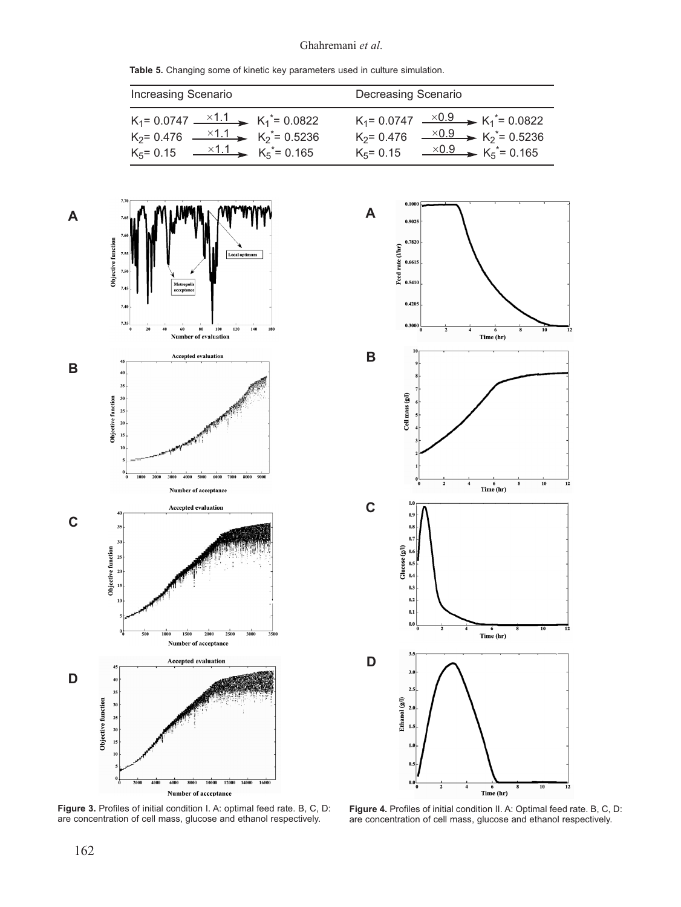#### Ghahremani *et al*.

**Table 5.** Changing some of kinetic key parameters used in culture simulation.

| <b>Increasing Scenario</b>                                       | Decreasing Scenario                                    |
|------------------------------------------------------------------|--------------------------------------------------------|
| $K_1$ = 0.0747 $\longrightarrow$ 1.1 $K_1$ <sup>*</sup> = 0.0822 | $K_1 = 0.0747 \xrightarrow{\times 0.9} K_1^* = 0.0822$ |
| $K_2$ = 0.476 $\xrightarrow{×1.1}$ $K_2$ <sup>*</sup> = 0.5236   | $K_2$ = 0.476 $\xrightarrow{\times 0.9} K_2$ *= 0.5236 |
| $K_5 = 0.15$ $\times 1.1$ $K_5 = 0.165$                          | $K_5 = 0.15$ $\times 0.9$ $K_5 = 0.165$                |





**Figure 3.** Profiles of initial condition I. A: optimal feed rate. B, C, D: are concentration of cell mass, glucose and ethanol respectively.

**Figure 4.** Profiles of initial condition II. A: Optimal feed rate. B, C, D: are concentration of cell mass, glucose and ethanol respectively.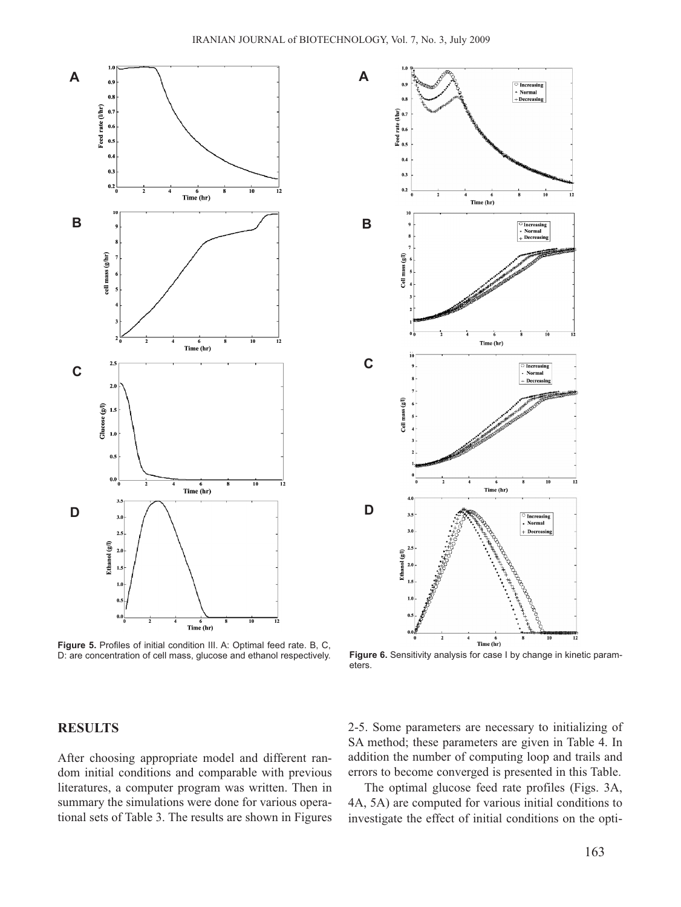**A**





Figure 5. Profiles of initial condition III. A: Optimal feed rate. B, C, D: are concentration of cell mass, glucose and ethanol respectively. **Figure 6.** Sensitivity analysis for case I by change in kinetic param-

eters.

### **RESULTS**

After choosing appropriate model and different random initial conditions and comparable with previous literatures, a computer program was written. Then in summary the simulations were done for various operational sets of Table 3. The results are shown in Figures 2-5. Some parameters are necessary to initializing of SA method; these parameters are given in Table 4. In addition the number of computing loop and trails and errors to become converged is presented in this Table.

The optimal glucose feed rate profiles (Figs. 3A, 4A, 5A) are computed for various initial conditions to investigate the effect of initial conditions on the opti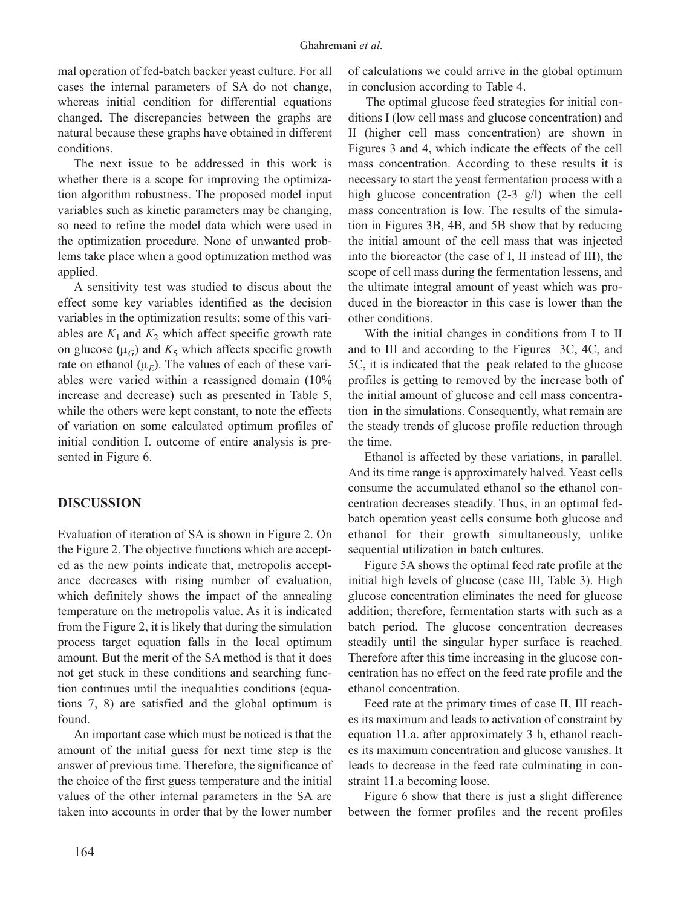mal operation of fed-batch backer yeast culture. For all cases the internal parameters of SA do not change, whereas initial condition for differential equations changed. The discrepancies between the graphs are natural because these graphs have obtained in different conditions.

The next issue to be addressed in this work is whether there is a scope for improving the optimization algorithm robustness. The proposed model input variables such as kinetic parameters may be changing, so need to refine the model data which were used in the optimization procedure. None of unwanted problems take place when a good optimization method was applied.

A sensitivity test was studied to discus about the effect some key variables identified as the decision variables in the optimization results; some of this variables are  $K_1$  and  $K_2$  which affect specific growth rate on glucose  $(\mu_G)$  and  $K_5$  which affects specific growth rate on ethanol  $(\mu_F)$ . The values of each of these variables were varied within a reassigned domain (10% increase and decrease) such as presented in Table 5, while the others were kept constant, to note the effects of variation on some calculated optimum profiles of initial condition I. outcome of entire analysis is presented in Figure 6.

## **DISCUSSION**

Evaluation of iteration of SA is shown in Figure 2. On the Figure 2. The objective functions which are accepted as the new points indicate that, metropolis acceptance decreases with rising number of evaluation, which definitely shows the impact of the annealing temperature on the metropolis value. As it is indicated from the Figure 2, it is likely that during the simulation process target equation falls in the local optimum amount. But the merit of the SA method is that it does not get stuck in these conditions and searching function continues until the inequalities conditions (equations 7, 8) are satisfied and the global optimum is found.

An important case which must be noticed is that the amount of the initial guess for next time step is the answer of previous time. Therefore, the significance of the choice of the first guess temperature and the initial values of the other internal parameters in the SA are taken into accounts in order that by the lower number of calculations we could arrive in the global optimum in conclusion according to Table 4.

The optimal glucose feed strategies for initial conditions I (low cell mass and glucose concentration) and II (higher cell mass concentration) are shown in Figures 3 and 4, which indicate the effects of the cell mass concentration. According to these results it is necessary to start the yeast fermentation process with a high glucose concentration (2-3 g/l) when the cell mass concentration is low. The results of the simulation in Figures 3B, 4B, and 5B show that by reducing the initial amount of the cell mass that was injected into the bioreactor (the case of I, II instead of III), the scope of cell mass during the fermentation lessens, and the ultimate integral amount of yeast which was produced in the bioreactor in this case is lower than the other conditions.

With the initial changes in conditions from I to II and to III and according to the Figures 3C, 4C, and 5C, it is indicated that the peak related to the glucose profiles is getting to removed by the increase both of the initial amount of glucose and cell mass concentration in the simulations. Consequently, what remain are the steady trends of glucose profile reduction through the time.

Ethanol is affected by these variations, in parallel. And its time range is approximately halved. Yeast cells consume the accumulated ethanol so the ethanol concentration decreases steadily. Thus, in an optimal fedbatch operation yeast cells consume both glucose and ethanol for their growth simultaneously, unlike sequential utilization in batch cultures.

Figure 5A shows the optimal feed rate profile at the initial high levels of glucose (case III, Table 3). High glucose concentration eliminates the need for glucose addition; therefore, fermentation starts with such as a batch period. The glucose concentration decreases steadily until the singular hyper surface is reached. Therefore after this time increasing in the glucose concentration has no effect on the feed rate profile and the ethanol concentration.

Feed rate at the primary times of case II, III reaches its maximum and leads to activation of constraint by equation 11.a. after approximately 3 h, ethanol reaches its maximum concentration and glucose vanishes. It leads to decrease in the feed rate culminating in constraint 11.a becoming loose.

Figure 6 show that there is just a slight difference between the former profiles and the recent profiles